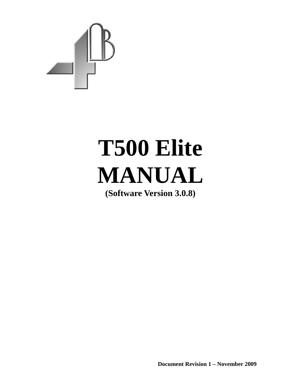

# **T500 Elite MANUAL**

**(Software Version 3.0.8)** 

**Document Revision 1 – November 2009**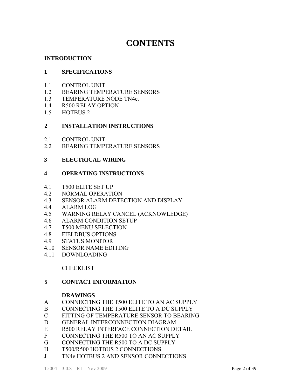# **CONTENTS**

### **INTRODUCTION**

#### **1 SPECIFICATIONS**

- 1.1 CONTROL UNIT
- 1.2 BEARING TEMPERATURE SENSORS
- 1.3 TEMPERATURE NODE TN4e.
- 1.4 R500 RELAY OPTION
- 1.5 HOTBUS 2

#### **2 INSTALLATION INSTRUCTIONS**

- 2.1 CONTROL UNIT
- 2.2 BEARING TEMPERATURE SENSORS

#### **3 ELECTRICAL WIRING**

#### **4 OPERATING INSTRUCTIONS**

- 4.1 T500 ELITE SET UP
- 4.2 NORMAL OPERATION
- 4.3 SENSOR ALARM DETECTION AND DISPLAY
- 4.4 ALARM LOG
- 4.5 WARNING RELAY CANCEL (ACKNOWLEDGE)
- 4.6 ALARM CONDITION SETUP
- 4.7 T500 MENU SELECTION
- 4.8 FIELDBUS OPTIONS
- 4.9 STATUS MONITOR
- 4.10 SENSOR NAME EDITING
- 4.11 DOWNLOADING

#### **CHECKLIST**

#### **5 CONTACT INFORMATION**

#### **DRAWINGS**

- A CONNECTING THE T500 ELITE TO AN AC SUPPLY
- B CONNECTING THE T500 ELITE TO A DC SUPPLY
- C FITTING OF TEMPERATURE SENSOR TO BEARING
- D GENERAL INTERCONNECTION DIAGRAM
- E R500 RELAY INTERFACE CONNECTION DETAIL
- F CONNECTING THE R500 TO AN AC SUPPLY
- G CONNECTING THE R500 TO A DC SUPPLY
- H T500/R500 HOTBUS 2 CONNECTIONS
- J TN4e HOTBUS 2 AND SENSOR CONNECTIONS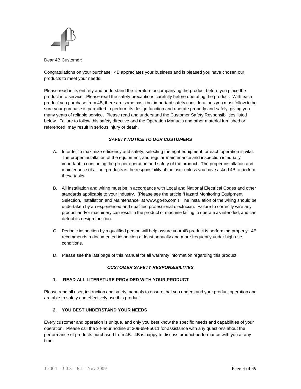

Dear 4B Customer:

Congratulations on your purchase. 4B appreciates your business and is pleased you have chosen our products to meet your needs.

Please read in its entirety and understand the literature accompanying the product before you place the product into service. Please read the safety precautions carefully before operating the product. With each product you purchase from 4B, there are some basic but important safety considerations you must follow to be sure your purchase is permitted to perform its design function and operate properly and safely, giving you many years of reliable service. Please read and understand the Customer Safety Responsibilities listed below. Failure to follow this safety directive and the Operation Manuals and other material furnished or referenced, may result in serious injury or death.

#### *SAFETY NOTICE TO OUR CUSTOMERS*

- A. In order to maximize efficiency and safety, selecting the right equipment for each operation is vital. The proper installation of the equipment, and regular maintenance and inspection is equally important in continuing the proper operation and safety of the product. The proper installation and maintenance of all our products is the responsibility of the user unless you have asked 4B to perform these tasks.
- B. All installation and wiring must be in accordance with Local and National Electrical Codes and other standards applicable to your industry. (Please see the article "Hazard Monitoring Equipment Selection, Installation and Maintenance" at www.go4b.com.) The installation of the wiring should be undertaken by an experienced and qualified professional electrician. Failure to correctly wire any product and/or machinery can result in the product or machine failing to operate as intended, and can defeat its design function.
- C. Periodic inspection by a qualified person will help assure your 4B product is performing properly. 4B recommends a documented inspection at least annually and more frequently under high use conditions.
- D. Please see the last page of this manual for all warranty information regarding this product.

#### *CUSTOMER SAFETY RESPONSIBILITIES*

#### **1. READ ALL LITERATURE PROVIDED WITH YOUR PRODUCT**

Please read all user, instruction and safety manuals to ensure that you understand your product operation and are able to safely and effectively use this product.

#### **2. YOU BEST UNDERSTAND YOUR NEEDS**

Every customer and operation is unique, and only you best know the specific needs and capabilities of your operation. Please call the 24-hour hotline at 309-698-5611 for assistance with any questions about the performance of products purchased from 4B. 4B is happy to discuss product performance with you at any time.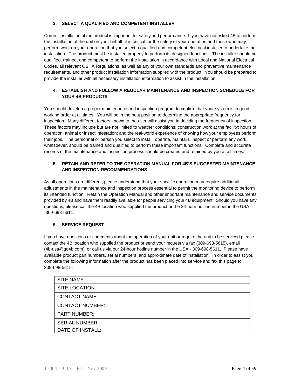#### **3. SELECT A QUALIFIED AND COMPETENT INSTALLER**

Correct installation of the product is important for safety and performance. If you have not asked 4B to perform the installation of the unit on your behalf, it is critical for the safety of your operation and those who may perform work on your operation that you select a qualified and competent electrical installer to undertake the installation. The product must be installed properly to perform its designed functions. The installer should be qualified, trained, and competent to perform the installation in accordance with Local and National Electrical Codes, all relevant OSHA Regulations, as well as any of your own standards and preventive maintenance requirements, and other product installation information supplied with the product. You should be prepared to provide the installer with all necessary installation information to assist in the installation.

#### **4. ESTABLISH AND FOLLOW A REGULAR MAINTENANCE AND INSPECTION SCHEDULE FOR YOUR 4B PRODUCTS**

You should develop a proper maintenance and inspection program to confirm that your system is in good working order at all times. You will be in the best position to determine the appropriate frequency for inspection. Many different factors known to the user will assist you in deciding the frequency of inspection. These factors may include but are not limited to weather conditions; construction work at the facility; hours of operation; animal or insect infestation; and the real-world experience of knowing how your employees perform their jobs. The personnel or person you select to install, operate, maintain, inspect or perform any work whatsoever, should be trained and qualified to perform these important functions. Complete and accurate records of the maintenance and inspection process should be created and retained by you at all times.

#### **5. RETAIN AND REFER TO THE OPERATION MANUAL FOR 4B'S SUGGESTED MAINTENANCE AND INSPECTION RECOMMENDATIONS**

As all operations are different, please understand that your specific operation may require additional adjustments in the maintenance and inspection process essential to permit the monitoring device to perform its intended function. Retain the Operation Manual and other important maintenance and service documents provided by 4B and have them readily available for people servicing your 4B equipment. Should you have any questions, please call the 4B location who supplied the product or the 24-hour hotline number in the USA -309-698-5611.

#### **6. SERVICE REQUEST**

If you have questions or comments about the operation of your unit or require the unit to be serviced please contact the 4B location who supplied the product or send your request via fax (309-698-5615), email (4b-usa@go4b.com), or call us via our 24-hour hotline number in the USA - 309-698-5611. Please have available product part numbers, serial numbers, and approximate date of installation. In order to assist you, complete the following information after the product has been placed into service and fax this page to 309-698-5615.

| <b>SITE NAME:</b>      |  |
|------------------------|--|
| SITE LOCATION:         |  |
| <b>CONTACT NAME:</b>   |  |
| <b>CONTACT NUMBER:</b> |  |
| <b>PART NUMBER:</b>    |  |
| <b>SERIAL NUMBER:</b>  |  |
| DATE OF INSTALL:       |  |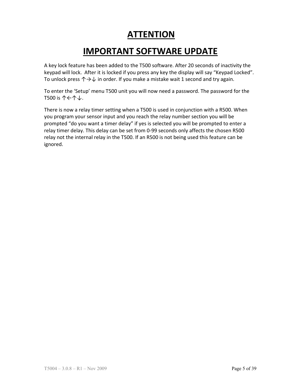# **ATTENTION**

# **IMPORTANT SOFTWARE UPDATE**

A key lock feature has been added to the T500 software. After 20 seconds of inactivity the keypad will lock. After it is locked if you press any key the display will say "Keypad Locked". To unlock press  $\uparrow \rightarrow \downarrow$  in order. If you make a mistake wait 1 second and try again.

To enter the 'Setup' menu T500 unit you will now need a password. The password for the T500 is ↑←↑↓.

There is now a relay timer setting when a T500 is used in conjunction with a R500. When you program your sensor input and you reach the relay number section you will be prompted "do you want a timer delay" if yes is selected you will be prompted to enter a relay timer delay. This delay can be set from 0‐99 seconds only affects the chosen R500 relay not the internal relay in the T500. If an R500 is not being used this feature can be ignored.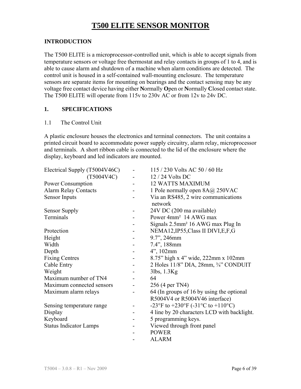# **T500 ELITE SENSOR MONITOR**

### **INTRODUCTION**

The T500 ELITE is a microprocessor-controlled unit, which is able to accept signals from temperature sensors or voltage free thermostat and relay contacts in groups of 1 to 4, and is able to cause alarm and shutdown of a machine when alarm conditions are detected. The control unit is housed in a self-contained wall-mounting enclosure. The temperature sensors are separate items for mounting on bearings and the contact sensing may be any voltage free contact device having either **N**ormally **O**pen or **N**ormally **C**losed contact state. The T500 ELITE will operate from 115v to 230v AC or from 12v to 24v DC.

## **1. SPECIFICATIONS**

#### 1.1 The Control Unit

A plastic enclosure houses the electronics and terminal connectors. The unit contains a printed circuit board to accommodate power supply circuitry, alarm relay, microprocessor and terminals. A short ribbon cable is connected to the lid of the enclosure where the display, keyboard and led indicators are mounted.

| Electrical Supply (T5004V46C) |  | 115 / 230 Volts AC 50 / 60 Hz                  |
|-------------------------------|--|------------------------------------------------|
| (T5004V4C)                    |  | 12 / 24 Volts DC                               |
| Power Consumption             |  | <b>12 WATTS MAXIMUM</b>                        |
| <b>Alarm Relay Contacts</b>   |  | 1 Pole normally open 8A@ 250VAC                |
| <b>Sensor Inputs</b>          |  | Via an RS485, 2 wire communications<br>network |
| <b>Sensor Supply</b>          |  | 24V DC (200 ma available)                      |
| Terminals                     |  | Power 4mm <sup>2</sup> 14 AWG max              |
|                               |  | Signals 2.5mm <sup>2</sup> 16 AWG max Plug In  |
| Protection                    |  | NEMA12, IP55, Class II DIVI, E, F, G           |
| Height                        |  | 9.7", 246mm                                    |
| Width                         |  | 7.4", 188mm                                    |
| Depth                         |  | 4", 102mm                                      |
| <b>Fixing Centres</b>         |  | 8.75" high x 4" wide, 222mm x 102mm            |
| Cable Entry                   |  | 2 Holes 11/8" DIA, 28mm, 3/4" CONDUIT          |
| Weight                        |  | 3lbs, 1.3Kg                                    |
| Maximum number of TN4         |  | 64                                             |
| Maximum connected sensors     |  | 256 (4 per TN4)                                |
| Maximum alarm relays          |  | 64 (In groups of 16 by using the optional      |
|                               |  | R5004V4 or R5004V46 interface)                 |
| Sensing temperature range     |  | -23°F to +230°F (-31°C to +110°C)              |
| Display                       |  | 4 line by 20 characters LCD with backlight.    |
| Keyboard                      |  | 5 programming keys.                            |
| <b>Status Indicator Lamps</b> |  | Viewed through front panel                     |
|                               |  | <b>POWER</b>                                   |
|                               |  | <b>ALARM</b>                                   |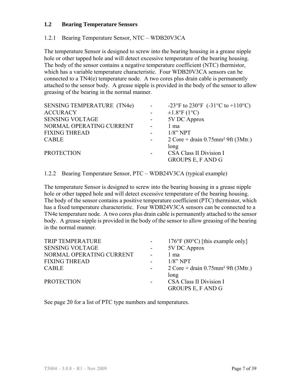#### **1.2 Bearing Temperature Sensors**

#### 1.2.1 Bearing Temperature Sensor, NTC – WDB20V3CA

The temperature Sensor is designed to screw into the bearing housing in a grease nipple hole or other tapped hole and will detect excessive temperature of the bearing housing. The body of the sensor contains a negative temperature coefficient (NTC) thermistor, which has a variable temperature characteristic. Four WDB20V3CA sensors can be connected to a TN4(e) temperature node. A two cores plus drain cable is permanently attached to the sensor body. A grease nipple is provided in the body of the sensor to allow greasing of the bearing in the normal manner.

| <b>SENSING TEMPERATURE (TN4e)</b> | $\blacksquare$           | -23°F to 230°F (-31°C to +110°C)                                                        |
|-----------------------------------|--------------------------|-----------------------------------------------------------------------------------------|
| <b>ACCURACY</b>                   |                          | $\pm 1.8$ °F (1°C)                                                                      |
| <b>SENSING VOLTAGE</b>            | ٠                        | 5V DC Approx                                                                            |
| NORMAL OPERATING CURRENT          | $\blacksquare$           | 1 ma                                                                                    |
| <b>FIXING THREAD</b>              |                          | $1/8$ " NPT                                                                             |
| <b>CABLE</b>                      | $\blacksquare$           | $2 \text{ Core} + \text{drain } 0.75 \text{mm}^2 \text{ } 9 \text{ft } (3 \text{Mtr.})$ |
|                                   |                          | long                                                                                    |
| <b>PROTECTION</b>                 | $\overline{\phantom{a}}$ | <b>CSA Class II Division I</b>                                                          |
|                                   |                          | <b>GROUPS E, F AND G</b>                                                                |
|                                   |                          |                                                                                         |

1.2.2 Bearing Temperature Sensor, PTC – WDB24V3CA (typical example)

The temperature Sensor is designed to screw into the bearing housing in a grease nipple hole or other tapped hole and will detect excessive temperature of the bearing housing. The body of the sensor contains a positive temperature coefficient (PTC) thermistor, which has a fixed temperature characteristic. Four WDB24V3CA sensors can be connected to a TN4e temperature node. A two cores plus drain cable is permanently attached to the sensor body. A grease nipple is provided in the body of the sensor to allow greasing of the bearing in the normal manner.

| <b>TRIP TEMPERATURE</b>  | $\sim$         | $176^{\circ}F(80^{\circ}C)$ [this example only]                                          |
|--------------------------|----------------|------------------------------------------------------------------------------------------|
| <b>SENSING VOLTAGE</b>   |                | 5V DC Approx                                                                             |
| NORMAL OPERATING CURRENT | $\blacksquare$ | 1 ma                                                                                     |
| <b>FIXING THREAD</b>     |                | $1/8$ " NPT                                                                              |
| <b>CABLE</b>             | $\blacksquare$ | $2 \text{ Core} + \text{drain } 0.75 \text{mm}^2 \text{ } 9 \text{ft } (3 \text{ Mtr.})$ |
| <b>PROTECTION</b>        | $\blacksquare$ | long<br><b>CSA Class II Division I</b><br><b>GROUPS E, F AND G</b>                       |

See page 20 for a list of PTC type numbers and temperatures.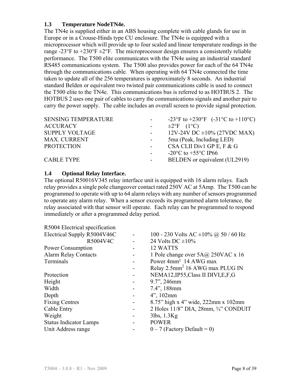#### **1.3 Temperature NodeTN4e.**

The TN4e is supplied either in an ABS housing complete with cable glands for use in Europe or in a Crouse-Hinds type CU enclosure. The TN4e is equipped with a microprocessor which will provide up to four scaled and linear temperature readings in the range -23°F to  $+230$ °F  $\pm 2$ °F. The microprocessor design ensures a consistently reliable performance. The T500 elite communicates with the TN4e using an industrial standard RS485 communications system. The T500 also provides power for each of the 64 TN4e through the communications cable. When operating with 64 TN4e connected the time taken to update all of the 256 temperatures is approximately 8 seconds. An industrial standard Belden or equivalent two twisted pair communications cable is used to connect the T500 elite to the TN4e. This communications bus is referred to as HOTBUS 2. The HOTBUS 2 uses one pair of cables to carry the communications signals and another pair to carry the power supply. The cable includes an overall screen to provide signal protection.

| <b>SENSING TEMPERATURE</b> |                  | -23°F to +230°F $(-31^{\circ}C \text{ to } +110^{\circ}C)$ |
|----------------------------|------------------|------------------------------------------------------------|
| <b>ACCURACY</b>            |                  | $\pm 2$ °F (1°C)                                           |
| <b>SUPPLY VOLTAGE</b>      | $\sim 100$       | 12V-24V DC $\pm 10\%$ (27VDC MAX)                          |
| <b>MAX. CURRENT</b>        |                  | 5ma (Peak, Including LED)                                  |
| <b>PROTECTION</b>          | $\sim 100$       | CSA CLII Div1 GP E, F & G                                  |
|                            |                  | -20 $^{\circ}$ C to +55 $^{\circ}$ C IP66                  |
| <b>CABLE TYPE</b>          | $\sim$ 100 $\mu$ | BELDEN or equivalent (UL2919)                              |
|                            |                  |                                                            |

#### **1.4 Optional Relay Interface.**

The optional R50016V345 relay interface unit is equipped with 16 alarm relays. Each relay provides a single pole changeover contact rated 250V AC at 5Amp. The T500 can be programmed to operate with up to 64 alarm relays with any number of sensors programmed to operate any alarm relay. When a sensor exceeds its programmed alarm tolerance, the relay associated with that sensor will operate. Each relay can be programmed to respond immediately or after a programmed delay period.

| R5004 Electrical specification |                          |                                                        |  |
|--------------------------------|--------------------------|--------------------------------------------------------|--|
| Electrical Supply R5004V46C    | $\overline{\phantom{0}}$ | 100 - 230 Volts AC $\pm$ 10% @ 50 / 60 Hz              |  |
| R5004V4C                       |                          | 24 Volts DC $\pm 10\%$                                 |  |
| Power Consumption              |                          | 12 WATTS                                               |  |
| <b>Alarm Relay Contacts</b>    |                          | 1 Pole change over 5A@ 250VAC x 16                     |  |
| Terminals                      |                          | Power 4mm <sup>2</sup> 14 AWG max                      |  |
|                                |                          | Relay 2.5mm <sup>2</sup> 16 AWG max PLUG IN            |  |
| Protection                     |                          | NEMA12, IP55, Class II DIVI, E, F, G                   |  |
| Height                         |                          | 9.7", 246mm                                            |  |
| Width                          |                          | 7.4", 188mm                                            |  |
| Depth                          |                          | $4$ ", 102mm                                           |  |
| <b>Fixing Centres</b>          |                          | 8.75" high x 4" wide, 222mm x 102mm                    |  |
| Cable Entry                    | -                        | 2 Holes $11/8$ " DIA, $28$ mm, $\frac{3}{4}$ " CONDUIT |  |
| Weight                         |                          | 3lbs, 1.3Kg                                            |  |
| <b>Status Indicator Lamps</b>  |                          | <b>POWER</b>                                           |  |
| Unit Address range             |                          | $0 - 7$ (Factory Default = 0)                          |  |
|                                |                          |                                                        |  |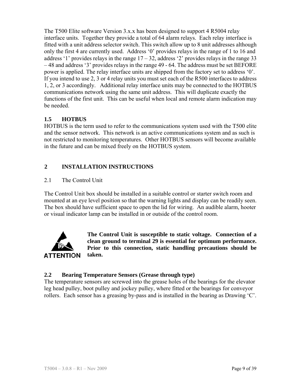The T500 Elite software Version 3.x.x has been designed to support 4 R5004 relay interface units. Together they provide a total of 64 alarm relays. Each relay interface is fitted with a unit address selector switch. This switch allow up to 8 unit addresses although only the first 4 are currently used. Address '0' provides relays in the range of 1 to 16 and address '1' provides relays in the range  $17 - 32$ , address '2' provides relays in the range 33 – 48 and address '3' provides relays in the range 49 - 64. The address must be set BEFORE power is applied. The relay interface units are shipped from the factory set to address '0'. If you intend to use 2, 3 or 4 relay units you must set each of the R500 interfaces to address 1, 2, or 3 accordingly. Additional relay interface units may be connected to the HOTBUS communications network using the same unit address. This will duplicate exactly the functions of the first unit. This can be useful when local and remote alarm indication may be needed.

# **1.5 HOTBUS**

HOTBUS is the term used to refer to the communications system used with the T500 elite and the sensor network. This network is an active communications system and as such is not restricted to monitoring temperatures. Other HOTBUS sensors will become available in the future and can be mixed freely on the HOTBUS system.

## **2 INSTALLATION INSTRUCTIONS**

### 2.1 The Control Unit

The Control Unit box should be installed in a suitable control or starter switch room and mounted at an eye level position so that the warning lights and display can be readily seen. The box should have sufficient space to open the lid for wiring. An audible alarm, hooter or visual indicator lamp can be installed in or outside of the control room.



**The Control Unit is susceptible to static voltage. Connection of a clean ground to terminal 29 is essential for optimum performance. Prior to this connection, static handling precautions should be taken.**

### **2.2 Bearing Temperature Sensors (Grease through type)**

rollers. Each sensor has a greasing by-pass and is installed in the bearing as Drawing  $C$ . The temperature sensors are screwed into the grease holes of the bearings for the elevator leg head pulley, boot pulley and jockey pulley, where fitted or the bearings for conveyor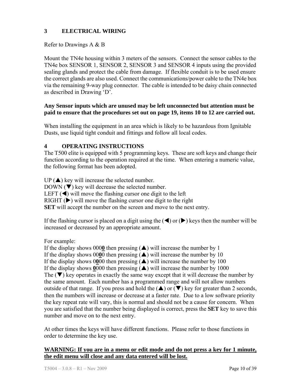# **3 ELECTRICAL WIRING**

#### Refer to Drawings A & B

Mount the TN4e housing within 3 meters of the sensors. Connect the sensor cables to the TN4e box SENSOR 1, SENSOR 2, SENSOR 3 and SENSOR 4 inputs using the provided sealing glands and protect the cable from damage. If flexible conduit is to be used ensure the correct glands are also used. Connect the communications/power cable to the TN4e box via the remaining 9-way plug connector. The cable is intended to be daisy chain connected as described in Drawing 'D'.

#### **Any Sensor inputs which are unused may be left unconnected but attention must be paid to ensure that the procedures set out on page 19, items 10 to 12 are carried out.**

When installing the equipment in an area which is likely to be hazardous from Ignitable Dusts, use liquid tight conduit and fittings and follow all local codes.

#### **4 OPERATING INSTRUCTIONS**

The T500 elite is equipped with 5 programming keys. These are soft keys and change their function according to the operation required at the time. When entering a numeric value, the following format has been adopted.

 $UP(\triangle)$  key will increase the selected number.  $DOWN ( \blacktriangledown)$  key will decrease the selected number. LEFT  $(\triangleleft)$  will move the flashing cursor one digit to the left RIGHT  $(\triangleright)$  will move the flashing cursor one digit to the right **SET** will accept the number on the screen and move to the next entry.

If the flashing cursor is placed on a digit using the  $(\blacktriangle)$  or  $(\blacktriangleright)$  keys then the number will be increased or decreased by an appropriate amount.

#### For example:

If the display shows 0000 then pressing  $(\triangle)$  will increase the number by 1 If the display shows 0000 then pressing  $(\triangle)$  will increase the number by 10 If the display shows  $0\underline{0}00$  then pressing  $(\triangle)$  will increase the number by 100 If the display shows  $0000$  then pressing  $(\triangle)$  will increase the number by 1000 The  $(\nabla)$  key operates in exactly the same way except that it will decrease the number by the same amount. Each number has a programmed range and will not allow numbers outside of that range. If you press and hold the  $(\triangle)$  or  $(\triangledown)$  key for greater than 2 seconds, then the numbers will increase or decrease at a faster rate. Due to a low software priority the key repeat rate will vary, this is normal and should not be a cause for concern. When you are satisfied that the number being displayed is correct, press the **SET** key to save this number and move on to the next entry.

At other times the keys will have different functions. Please refer to those functions in order to determine the key use.

### **WARNING: If you are in a menu or edit mode and do not press a key for 1 minute, the edit menu will close and any data entered will be lost.**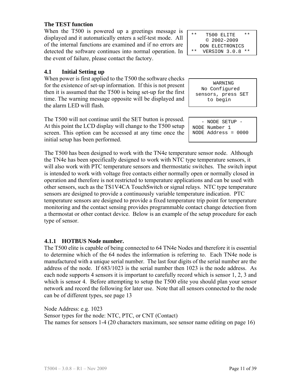#### **The TEST function**

When the T500 is powered up a greetings message is displayed and it automatically enters a self-test mode. All of the internal functions are examined and if no errors are detected the software continues into normal operation. In the event of failure, please contact the factory.

# **4.1 Initial Setting up**

When power is first applied to the T500 the software checks for the existence of set-up information. If this is not present then it is assumed that the T500 is being set-up for the first time. The warning message opposite will be displayed and the alarm LED will flash.

The T500 will not continue until the SET button is pressed. At this point the LCD display will change to the T500 setup screen. This option can be accessed at any time once the initial setup has been performed.

The T500 has been designed to work with the TN4e temperature sensor node. Although the TN4e has been specifically designed to work with NTC type temperature sensors, it will also work with PTC temperature sensors and thermostatic switches. The switch input is intended to work with voltage free contacts either normally open or normally closed in operation and therefore is not restricted to temperature applications and can be used with other sensors, such as the TS1V4CA TouchSwitch or signal relays. NTC type temperature sensors are designed to provide a continuously variable temperature indication. PTC temperature sensors are designed to provide a fixed temperature trip point for temperature monitoring and the contact sensing provides programmable contact change detection from a thermostat or other contact device. Below is an example of the setup procedure for each type of sensor.

### **4.1.1 HOTBUS Node number.**

The T500 elite is capable of being connected to 64 TN4e Nodes and therefore it is essential to determine which of the 64 nodes the information is referring to. Each TN4e node is manufactured with a unique serial number. The last four digits of the serial number are the address of the node. If 683/1023 is the serial number then 1023 is the node address. As each node supports 4 sensors it is important to carefully record which is sensor 1, 2, 3 and which is sensor 4. Before attempting to setup the T500 elite you should plan your sensor network and record the following for later use. Note that all sensors connected to the node can be of different types, see page 13

Node Address: e.g. 1023 Sensor types for the node: NTC, PTC, or CNT (Contact) The names for sensors 1-4 (20 characters maximum, see sensor name editing on page 16)

| $* *$ | T500 ELITE<br>* *   |
|-------|---------------------|
|       | $@2002 - 2009$      |
|       | DON ELECTRONICS     |
| * *   | VERSION 3.0.8<br>** |

 WARNING No Configured sensors, press SET to begin

 - NODE SETUP - NODE Number 1 NODE Address = 0000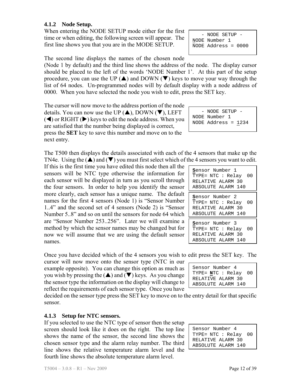## **4.1.2 Node Setup.**

When entering the NODE SETUP mode either for the first time or when editing, the following screen will appear. The first line shows you that you are in the MODE SETUP.

The second line displays the names of the chosen node

(Node 1 by default) and the third line shows the address of the node. The display cursor should be placed to the left of the words 'NODE Number 1'. At this part of the setup procedure, you can use the UP  $(\triangle)$  and DOWN ( $\nabla$ ) keys to move your way through the list of 64 nodes. Un-programmed nodes will by default display with a node address of 0000. When you have selected the node you wish to edit, press the SET key.

The cursor will now move to the address portion of the node details. You can now use the UP  $(\triangle)$ , DOWN  $(\blacktriangledown)$ , LEFT  $(\blacktriangle)$  or RIGHT  $(\blacktriangleright)$  keys to edit the node address. When you are satisfied that the number being displayed is correct, press the **SET** key to save this number and move on to the next entry.

The T500 then displays the details associated with each of the 4 sensors that make up the TN4e. Using the  $(\triangle)$  and  $(\blacktriangledown)$  you must first select which of the 4 sensors you want to edit.

If this is the first time you have edited this node then all the sensors will be NTC type otherwise the information for each sensor will be displayed in turn as you scroll through the four sensors. In order to help you identify the sensor more clearly, each sensor has a unique name. The default names for the first 4 sensors (Node 1) is "Sensor Number 1..4" and the second set of 4 sensors (Node 2) is "Sensor Number 5..8" and so on until the sensors for node 64 which are "Sensor Number 253..256". Later we will examine a method by which the sensor names may be changed but for now we will assume that we are using the default sensor names.

Once you have decided which of the 4 sensors you wish to edit press the SET key. The

cursor will now move onto the sensor type (NTC in our example opposite). You can change this option as much as you wish by pressing the  $(\triangle)$  and  $(\blacktriangledown)$  keys. As you change the sensor type the information on the display will change to reflect the requirements of each sensor type. Once you have

decided on the sensor type press the SET key to move on to the entry detail for that specific sensor.

### **4.1.3 Setup for NTC sensors.**

If you selected to use the NTC type of sensor then the setup screen should look like it does on the right. The top line shows the name of the sensor, the second line shows the chosen sensor type and the alarm relay number. The third line shows the relative temperature alarm level and the fourth line shows the absolute temperature alarm level.

 - NODE SETUP - NODE Number 1 NODE Address = 1234

| Sensor Number 1<br>TYPE= NTC : Relay 00<br>RELATIVE ALARM 30<br>ABSOLUTE ALARM 140 |  |
|------------------------------------------------------------------------------------|--|
| Sensor Number 2<br>TYPE= NTC : Relay 00<br>RELATIVE ALARM 30<br>ABSOLUTE ALARM 140 |  |
| Sensor Number 3<br>TYPE= NTC : Relay 00<br>RELATIVE ALARM 30<br>ABSOLUTE ALARM 140 |  |

| Sensor Number 4        |
|------------------------|
| TYPE= $NTC : Relay 00$ |
| RELATIVE ALARM 30      |
| ABSOLUTE ALARM 140     |
|                        |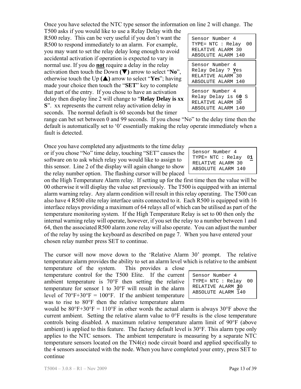Once you have selected the NTC type sensor the information on line 2 will change. The

T500 asks if you would like to use a Relay Delay with the R500 relay. This can be very useful if you don't want the R500 to respond immediately to an alarm. For example, you may want to set the relay delay long enough to avoid accidental activation if operation is expected to vary in normal use. If you do **not** require a delay in the relay activation then touch the Down **(**T**)** arrow to select "**No**", otherwise touch the Up  $(\triangle)$  arrow to select "Yes"; having made your choice then touch the "**SET**" key to complete that part of the entry. If you chose to have an activation delay then display line 2 will change to "**Relay Delay is xx S**". xx represents the current relay activation delay in seconds. The normal default is 60 seconds but the timer

range can bet set between 0 and 99 seconds. If you chose "No" to the delay time then the default is automatically set to '0' essentially making the relay operate immediately when a fault is detected.

Once you have completed any adjustments to the time delay or if you chose "No" time delay, touching "SET" causes the software on to ask which relay you would like to assign to this sensor. Line 2 of the display will again change to show the relay number option. The flashing cursor will be placed

on the High Temperature Alarm relay. If setting up for the first time then the value will be 00 otherwise it will display the value set previously. The T500 is equipped with an internal alarm warning relay. Any alarm condition will result in this relay operating. The T500 can also have 4 R500 elite relay interface units connected to it. Each R500 is equipped with 16 interface relays providing a maximum of 64 relays all of which can be utilised as part of the temperature monitoring system. If the High Temperature Relay is set to 00 then only the internal warning relay will operate, however, if you set the relay to a number between 1 and 64, then the associated R500 alarm zone relay will also operate. You can adjust the number of the relay by using the keyboard as described on page 7. When you have entered your chosen relay number press SET to continue.

The cursor will now move down to the 'Relative Alarm 30' prompt. The relative temperature alarm provides the ability to set an alarm level which is relative to the ambient

temperature of the system. This provides a close temperature control for the T500 Elite. If the current ambient temperature is 70°F then setting the relative temperature for sensor 1 to 30°F will result in the alarm level of  $70^{\circ}F+30^{\circ}F = 100^{\circ}F$ . If the ambient temperature was to rise to 80°F then the relative temperature alarm

would be  $80^{\circ}F+30^{\circ}F = 110^{\circ}F$  in other words the actual alarm is always  $30^{\circ}F$  above the current ambient. Setting the relative alarm value to 0°F results is the close temperature controls being disabled. A maximum relative temperature alarm limit of 90°F (above ambient) is applied to this feature. The factory default level is 30°F. This alarm type only applies to the NTC sensors. The ambient temperature is measuring by a separate NTC temperature sensors located on the TN4(e) node circuit board and applied specifically to the 4 sensors associated with the node. When you have completed your entry, press SET to continue

Sensor Number 4 TYPE= NTC : Relay 0**1** RELATIVE ALARM 30 ABSOLUTE ALARM 140

Sensor Number 4 TYPE= NTC : Relay 00 RELATIVE ALARM 30 ABSOLUTE ALARM 140 Sensor Number 4 Relay Delay ? **Y**es RELATIVE ALARM 30 ABSOLUTE ALARM 140 Sensor Number 4 Relay Delay is 6**0** S RELATIVE ALARM 30 ABSOLUTE ALARM 140

| Sensor Number 4      |  |  |  |  |
|----------------------|--|--|--|--|
| TYPE= NTC : Relay 00 |  |  |  |  |
| RELATIVE ALARM 30    |  |  |  |  |
| ABSOLUTE ALARM 140   |  |  |  |  |
|                      |  |  |  |  |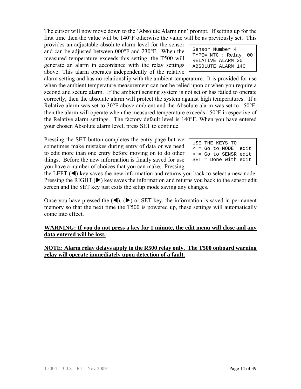The cursor will now move down to the 'Absolute Alarm nnn' prompt. If setting up for the first time then the value will be 140°F otherwise the value will be as previously set. This

provides an adjustable absolute alarm level for the sensor and can be adjusted between 000°F and 230°F. When the measured temperature exceeds this setting, the T500 will generate an alarm in accordance with the relay settings above. This alarm operates independently of the relative  $\overline{a}$ 

alarm setting and has no relationship with the ambient temperature. It is provided for use when the ambient temperature measurement can not be relied upon or when you require a second and secure alarm. If the ambient sensing system is not set or has failed to operate correctly, then the absolute alarm will protect the system against high temperatures. If a Relative alarm was set to 30°F above ambient and the Absolute alarm was set to 150°F, then the alarm will operate when the measured temperature exceeds 150°F irrespective of the Relative alarm settings. The factory default level is 140°F. When you have entered your chosen Absolute alarm level, press SET to continue.

Pressing the SET button completes the entry page but we sometimes make mistakes during entry of data or we need to edit more than one entry before moving on to do other things. Before the new information is finally saved for use you have a number of choices that you can make. Pressing

the LEFT  $(\blacktriangleleft)$  key saves the new information and returns you back to select a new node. Pressing the RIGHT  $(\triangleright)$  key saves the information and returns you back to the sensor edit screen and the SET key just exits the setup mode saving any changes.

Once you have pressed the  $(\blacktriangle)$ ,  $(\blacktriangleright)$  or SET key, the information is saved in permanent memory so that the next time the T500 is powered up, these settings will automatically come into effect.

### **WARNING: If you do not press a key for 1 minute, the edit menu will close and any data entered will be lost.**

#### **NOTE: Alarm relay delays apply to the R500 relay only. The T500 onboard warning relay will operate immediately upon detection of a fault.**

| Sensor Number 4                                           |  |  |  |  |
|-----------------------------------------------------------|--|--|--|--|
| $\sqrt{\text{Type}} = \text{NTC} : \text{Relay} \quad 00$ |  |  |  |  |
| RELATIVE ALARM 30                                         |  |  |  |  |
| ABSOLUTE ALARM 140                                        |  |  |  |  |

| USE THE KEYS TO |                              |  |
|-----------------|------------------------------|--|
|                 | $\epsilon$ = Go to NODE edit |  |
|                 | $>$ = Go to SENSR edit       |  |
|                 | $SET = Done with edit$       |  |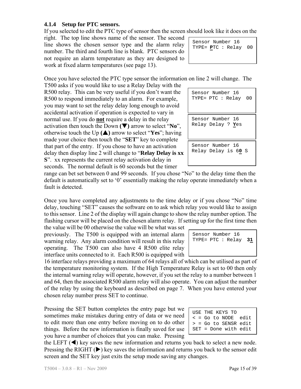# **4.1.4 Setup for PTC sensors.**

If you selected to edit the PTC type of sensor then the screen should look like it does on the

right. The top line shows name of the sensor. The second line shows the chosen sensor type and the alarm relay number. The third and fourth line is blank. PTC sensors do not require an alarm temperature as they are designed to work at fixed alarm temperatures (see page 13).

Sensor Number 16 TYPE= **P**TC : Relay 00

Once you have selected the PTC type sensor the information on line 2 will change. The

T500 asks if you would like to use a Relay Delay with the R500 relay. This can be very useful if you don't want the R500 to respond immediately to an alarm. For example, you may want to set the relay delay long enough to avoid accidental activation if operation is expected to vary in normal use. If you do **not** require a delay in the relay activation then touch the Down **(**T**)** arrow to select "**No**", otherwise touch the Up  $(\triangle)$  arrow to select "Yes"; having made your choice then touch the "**SET**" key to complete that part of the entry. If you chose to have an activation delay then display line 2 will change to "**Relay Delay is xx S**". xx represents the current relay activation delay in seconds. The normal default is 60 seconds but the timer

| Sensor Number 16<br>TYPE= PTC : Relay 00      |
|-----------------------------------------------|
| Sensor Number 16<br>Relay Delay ? <b>Y</b> es |
| Sensor Number 16<br>Relay Delay is 60 S       |

range can bet set between 0 and 99 seconds. If you chose "No" to the delay time then the default is automatically set to '0' essentially making the relay operate immediately when a fault is detected.

Once you have completed any adjustments to the time delay or if you chose "No" time delay, touching "SET" causes the software on to ask which relay you would like to assign to this sensor. Line 2 of the display will again change to show the relay number option. The flashing cursor will be placed on the chosen alarm relay. If setting up for the first time then

the value will be 00 otherwise the value will be what was set previously. The T500 is equipped with an internal alarm warning relay. Any alarm condition will result in this relay operating. The T500 can also have 4 R500 elite relay interface units connected to it. Each R500 is equipped with

16 interface relays providing a maximum of 64 relays all of which can be utilised as part of the temperature monitoring system. If the High Temperature Relay is set to 00 then only the internal warning relay will operate, however, if you set the relay to a number between 1 and 64, then the associated R500 alarm relay will also operate. You can adjust the number of the relay by using the keyboard as described on page 7. When you have entered your chosen relay number press SET to continue.

Pressing the SET button completes the entry page but we sometimes make mistakes during entry of data or we need to edit more than one entry before moving on to do other things. Before the new information is finally saved for use you have a number of choices that you can make. Pressing

| USE THE KEYS TO      |  |
|----------------------|--|
| < = Go to NODE edit  |  |
| > = Go to SENSR edit |  |
| SET = Done with edit |  |

Sensor Number 16 TYPE= PTC : Relay **31**

the LEFT  $(\blacktriangleleft)$  key saves the new information and returns you back to select a new node. Pressing the RIGHT  $(\triangleright)$  key saves the information and returns you back to the sensor edit screen and the SET key just exits the setup mode saving any changes.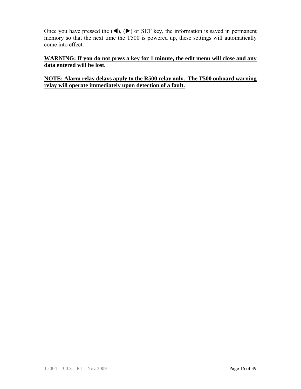Once you have pressed the  $(\blacktriangle)$ ,  $(\blacktriangleright)$  or SET key, the information is saved in permanent memory so that the next time the T500 is powered up, these settings will automatically come into effect.

## **WARNING: If you do not press a key for 1 minute, the edit menu will close and any data entered will be lost.**

### **NOTE: Alarm relay delays apply to the R500 relay only. The T500 onboard warning relay will operate immediately upon detection of a fault.**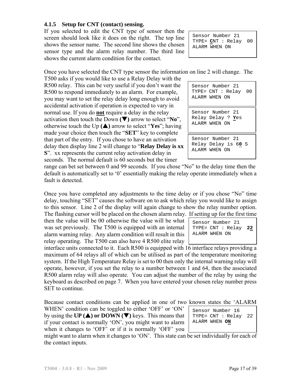# **4.1.5 Setup for CNT (contact) sensing.**

If you selected to edit the CNT type of sensor then the screen should look like it does on the right. The top line shows the sensor name. The second line shows the chosen sensor type and the alarm relay number. The third line shows the current alarm condition for the contact.

Sensor Number 21 TYPE= **C**NT : Relay 00 ALARM WHEN ON

Once you have selected the CNT type sensor the information on line 2 will change. The

T500 asks if you would like to use a Relay Delay with the R500 relay. This can be very useful if you don't want the R500 to respond immediately to an alarm. For example, you may want to set the relay delay long enough to avoid accidental activation if operation is expected to vary in normal use. If you do **not** require a delay in the relay activation then touch the Down **(**T**)** arrow to select "**No**", otherwise touch the Up  $(\triangle)$  arrow to select "Yes"; having made your choice then touch the "**SET**" key to complete that part of the entry. If you chose to have an activation delay then display line 2 will change to "**Relay Delay is xx S**". xx represents the current relay activation delay in seconds. The normal default is 60 seconds but the timer

Sensor Number 21 TYPE= CNT : Relay 00 ALARM WHEN ON

Sensor Number 21 Relay Delay ? **Y**es ALARM WHEN ON

Sensor Number 21 Relay Delay is 6**0** S ALARM WHEN ON

range can bet set between 0 and 99 seconds. If you chose "No" to the delay time then the default is automatically set to '0' essentially making the relay operate immediately when a fault is detected.

Once you have completed any adjustments to the time delay or if you chose "No" time delay, touching "SET" causes the software on to ask which relay you would like to assign to this sensor. Line 2 of the display will again change to show the relay number option. The flashing cursor will be placed on the chosen alarm relay. If setting up for the first time

then the value will be 00 otherwise the value will be what was set previously. The T500 is equipped with an internal alarm warning relay. Any alarm condition will result in this relay operating. The T500 can also have 4 R500 elite relay

Sensor Number 21 TYPE= CNT : Relay **22** ALARM WHEN ON

interface units connected to it. Each R500 is equipped with 16 interface relays providing a maximum of 64 relays all of which can be utilised as part of the temperature monitoring system. If the High Temperature Relay is set to 00 then only the internal warning relay will operate, however, if you set the relay to a number between 1 and 64, then the associated R500 alarm relay will also operate. You can adjust the number of the relay by using the keyboard as described on page 7. When you have entered your chosen relay number press SET to continue.

Because contact conditions can be applied in one of two known states the 'ALARM

WHEN' condition can be toggled to either 'OFF' or 'ON' by using the **UP (** $\triangle$ **) or DOWN (** $\nabla$ **)** keys. This means that if your contact is normally 'ON', you might want to alarm when it changes to 'OFF' or if it is normally 'OFF' you Sensor Number 16 TYPE= CNT : Relay 22 ALARM WHEN **ON**

might want to alarm when it changes to 'ON'. This state can be set individually for each of the contact inputs.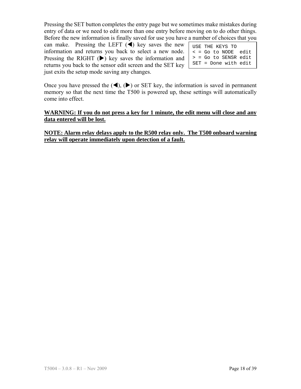Pressing the SET button completes the entry page but we sometimes make mistakes during entry of data or we need to edit more than one entry before moving on to do other things. Before the new information is finally saved for use you have a number of choices that you

can make. Pressing the LEFT  $(\triangleleft)$  key saves the new information and returns you back to select a new node. Pressing the RIGHT  $(\triangleright)$  key saves the information and returns you back to the sensor edit screen and the SET key just exits the setup mode saving any changes.

| USE THE KEYS TO              |  |
|------------------------------|--|
| $\epsilon$ = Go to NODE edit |  |
| $>$ = Go to SENSR edit       |  |
| $SET = Done with edit$       |  |

Once you have pressed the  $(\blacktriangle)$ ,  $(\blacktriangleright)$  or SET key, the information is saved in permanent memory so that the next time the T500 is powered up, these settings will automatically come into effect.

#### **WARNING: If you do not press a key for 1 minute, the edit menu will close and any data entered will be lost.**

**NOTE: Alarm relay delays apply to the R500 relay only. The T500 onboard warning relay will operate immediately upon detection of a fault.**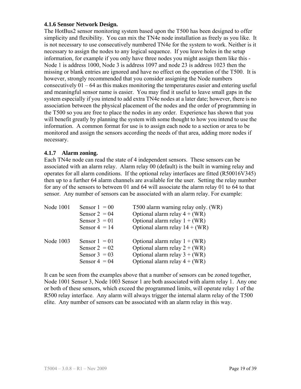#### **4.1.6 Sensor Network Design.**

The HotBus2 sensor monitoring system based upon the T500 has been designed to offer simplicity and flexibility. You can mix the TN4e node installation as freely as you like. It is not necessary to use consecutively numbered TN4e for the system to work. Neither is it necessary to assign the nodes to any logical sequence. If you leave holes in the setup information, for example if you only have three nodes you might assign them like this - Node 1 is address 1000, Node 3 is address 1097 and node 23 is address 1023 then the missing or blank entries are ignored and have no effect on the operation of the T500. It is however, strongly recommended that you consider assigning the Node numbers consecutively 01 – 64 as this makes monitoring the temperatures easier and entering useful and meaningful sensor name is easier. You may find it useful to leave small gaps in the system especially if you intend to add extra TN4e nodes at a later date; however, there is no association between the physical placement of the nodes and the order of programming in the T500 so you are free to place the nodes in any order. Experience has shown that you will benefit greatly by planning the system with some thought to how you intend to use the information. A common format for use is to assign each node to a section or area to be monitored and assign the sensors according the needs of that area, adding more nodes if necessary.

### **4.1.7 Alarm zoning.**

Each TN4e node can read the state of 4 independent sensors. These sensors can be associated with an alarm relay. Alarm relay 00 (default) is the built in warning relay and operates for all alarm conditions. If the optional relay interfaces are fitted (R50016V345) then up to a further 64 alarm channels are available for the user. Setting the relay number for any of the sensors to between 01 and 64 will associate the alarm relay 01 to 64 to that sensor. Any number of sensors can be associated with an alarm relay. For example:

| Node 1001 | Sensor $1 = 00$<br>Sensor $2 = 04$<br>Sensor $3 = 01$<br>Sensor $4 = 14$ | T500 alarm warning relay only. (WR)<br>Optional alarm relay $4 + (WR)$<br>Optional alarm relay $1 + (WR)$<br>Optional alarm relay $14 + (WR)$ |
|-----------|--------------------------------------------------------------------------|-----------------------------------------------------------------------------------------------------------------------------------------------|
| Node 1003 | Sensor $1 = 01$<br>Sensor $2 = 02$<br>Sensor $3 = 03$<br>Sensor $4 = 04$ | Optional alarm relay $1 + (WR)$<br>Optional alarm relay $2 + (WR)$<br>Optional alarm relay $3 + (WR)$<br>Optional alarm relay $4 + (WR)$      |

It can be seen from the examples above that a number of sensors can be zoned together, Node 1001 Sensor 3, Node 1003 Sensor 1 are both associated with alarm relay 1. Any one or both of these sensors, which exceed the programmed limits, will operate relay 1 of the R500 relay interface. Any alarm will always trigger the internal alarm relay of the T500 elite. Any number of sensors can be associated with an alarm relay in this way.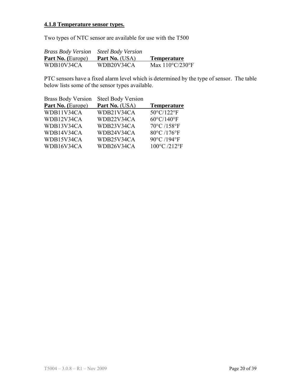# **4.1.8 Temperature sensor types.**

Two types of NTC sensor are available for use with the T500

| <b>Brass Body Version</b> | <b>Steel Body Version</b> |                           |
|---------------------------|---------------------------|---------------------------|
| <b>Part No.</b> (Europe)  | <b>Part No.</b> (USA)     | <b>Temperature</b>        |
| WDB10V34CA                | WDB20V34CA                | Max $110^{\circ}$ C/230°F |

PTC sensors have a fixed alarm level which is determined by the type of sensor. The table below lists some of the sensor types available.

| <b>Steel Body Version</b><br><b>Brass Body Version</b> |                      |
|--------------------------------------------------------|----------------------|
| Part No. (Europe)<br>Part No. (USA)                    | <b>Temperature</b>   |
| WDB11V34CA<br>WDB21V34CA                               | 50°C/122°F           |
| WDB12V34CA<br>WDB22V34CA                               | $60^{\circ}$ C/140°F |
| WDB13V34CA<br>WDB23V34CA                               | 70°C /158°F          |
| WDB14V34CA<br>WDB24V34CA                               | 80°C /176°F          |
| WDB15V34CA<br>WDB25V34CA                               | 90°C /194°F          |
| WDB16V34CA<br>WDB26V34CA                               | 100°C /212°F         |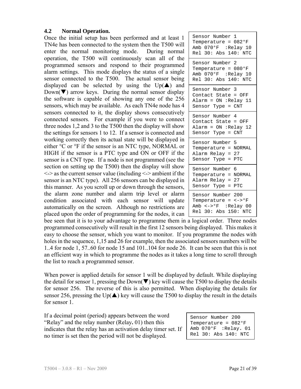#### **4.2 Normal Operation.**

Once the initial setup has been performed and at least 1 TN4e has been connected to the system then the T500 will enter the normal monitoring mode. During normal operation, the T500 will continuously scan all of the programmed sensors and respond to their programmed alarm settings. This mode displays the status of a single sensor connected to the T500. The actual sensor being displayed can be selected by using the  $Up(\triangle)$  and  $Down(\nabla)$  arrow keys. During the normal sensor display the software is capable of showing any one of the 256 sensors, which may be available. As each TN4e node has 4 sensors connected to it, the display shows consecutively connected sensors. For example if you were to connect three nodes 1,2 and 3 to the T500 then the display will show the settings for sensors 1 to 12. If a sensor is connected and working correctly then its actual state will be displayed in either °C or °F if the sensor is an NTC type, NORMAL or HIGH if the sensor is a PTC type and ON or OFF if the sensor is a CNT type. If a node is not programmed (see the section on setting up the T500) then the display will show  $\le$  > as the current sensor value (including  $\le$  > ambient if the sensor is an NTC type). All 256 sensors can be displayed in this manner. As you scroll up or down through the sensors, the alarm zone number and alarm trip level or alarm condition associated with each sensor will update automatically on the screen. Although no restrictions are placed upon the order of programming for the nodes, it can

| Sensor Number 1<br>Temperature = 082°F<br>Amb 070°F :Relay 10<br>Rel 30: Abs 140: NTC                         |
|---------------------------------------------------------------------------------------------------------------|
| Sensor Number 2<br>Temperature = $080^{\circ}$ F<br>Amb 070°F : Relay 10<br>Rel 30: Abs 140: NTC              |
| Sensor Number 3<br>Contact State = OFF<br>Alarm = $ON$ : Relay 11<br>Sensor Type = CNT                        |
| Sensor Number 4<br>Contact State = OFF<br>Alarm = ON :Relay 12<br>Sensor Type = CNT                           |
| Sensor Number 5<br>Temperature = NORMAL<br>Alarm Relay = 27<br>Sensor Type =<br>PTC                           |
| Sensor Number 6<br><b>NORMAL</b><br>Temperature =<br>Alarm Relay = 27<br>PTC<br>Sensor Type =                 |
| Sensor Number 200<br>Temperature = $\leftarrow$ > $\circ$ F<br>Amb <-> > F : Relay 00<br>Rel 30: Abs 150: NTC |

bee seen that it is to your advantage to programme them in a logical order. Three nodes programmed consecutively will result in the first 12 sensors being displayed. This makes it easy to choose the sensor, which you want to monitor. If you programme the nodes with holes in the sequence, 1,15 and 26 for example, then the associated sensors numbers will be 1..4 for node 1, 57..60 for node 15 and 101..104 for node 26. It can be seen that this is not an efficient way in which to programme the nodes as it takes a long time to scroll through the list to reach a programmed sensor.

When power is applied details for sensor 1 will be displayed by default. While displaying the detail for sensor 1, pressing the Down( $\nabla$ ) key will cause the T500 to display the details for sensor 256. The reverse of this is also permitted. When displaying the details for sensor 256, pressing the Up( $\triangle$ ) key will cause the T500 to display the result in the details for sensor 1.

If a decimal point (period) appears between the word "Relay" and the relay number (Relay**.** 01) then this indicates that the relay has an activation delay timer set. If no timer is set then the period will not be displayed.

| Sensor Number 200 |                        |
|-------------------|------------------------|
|                   | Temperature = $082$ °F |
|                   | Amb 070°F :Relay. 01   |
|                   | Rel 30: Abs 140: NTC   |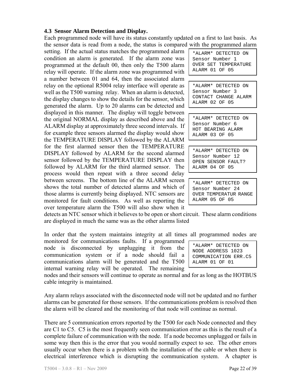#### **4.3 Sensor Alarm Detection and Display.**

Each programmed node will have its status constantly updated on a first to last basis. As the sensor data is read from a node, the status is compared with the programmed alarm

setting. If the actual status matches the programmed alarm condition an alarm is generated. If the alarm zone was programmed at the default 00, then only the T500 alarm relay will operate. If the alarm zone was programmed with a number between 01 and 64, then the associated alarm relay on the optional R5004 relay interface will operate as well as the T500 warning relay. When an alarm is detected, the display changes to show the details for the sensor, which generated the alarm. Up to 20 alarms can be detected and displayed in this manner. The display will toggle between the original NORMAL display as described above and the ALARM display at approximately three second intervals. If for example three sensors alarmed the display would show the TEMPERATURE DISPLAY followed by the ALARM for the first alarmed sensor then the TEMPERATURE DISPLAY followed by ALARM for the second alarmed sensor followed by the TEMPERATURE DISPLAY then followed by ALARM for the third alarmed sensor. The process would then repeat with a three second delay between screens. The bottom line of the ALARM screen shows the total number of detected alarms and which of those alarms is currently being displayed. NTC sensors are monitored for fault conditions. As well as reporting the over temperature alarm the T500 will also show when it

\*ALARM\* DETECTED ON Sensor Number 1 OVER SET TEMPERATURE ALARM 01 OF 05

\*ALARM\* DETECTED ON Sensor Number 3 CONTACT CHANGE ALARM ALARM 02 OF 05

\*ALARM\* DETECTED ON Sensor Number 6 HOT BEARING ALARM ALARM 03 OF 05

\*ALARM\* DETECTED ON Sensor Number 12 OPEN SENSOR FAULT? ALARM 04 OF 05

\*ALARM\* DETECTED ON Sensor Number 24 OVER TEMPERATUR RANGE ALARM 05 OF 05

detects an NTC sensor which it believes to be open or short circuit. These alarm conditions are displayed in much the same was as the other alarms listed

In order that the system maintains integrity at all times all programmed nodes are

monitored for communications faults. If a programmed node is disconnected by unplugging it from the communication system or if a node should fail a communications alarm will be generated and the T500 internal warning relay will be operated. The remaining

nodes and their sensors will continue to operate as normal and for as long as the HOTBUS cable integrity is maintained.

Any alarm relays associated with the disconnected node will not be updated and no further alarms can be generated for those sensors. If the communications problem is resolved then the alarm will be cleared and the monitoring of that node will continue as normal.

There are 5 communication errors reported by the T500 for each Node connected and they are C1 to C5. C5 is the most frequently seen communication error as this is the result of a complete failure of communication with the node. If a node becomes unplugged or fails in some way then this is the error that you would normally expect to see. The other errors usually occur when there is a problem with the installation of the cable or when there is electrical interference which is disrupting the communication system. A chapter is

| *ALARM* DETECTED ON  |
|----------------------|
| NODE ADDRESS 1023    |
| COMMUNICATION ERR.C5 |
| ALARM 01 OF 01       |
|                      |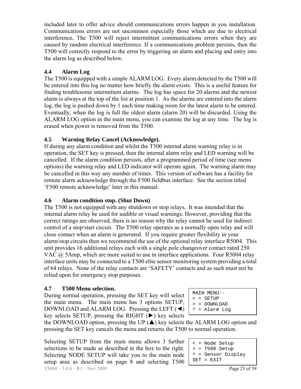included later to offer advice should communications errors happen in you installation. Communications errors are not uncommon especially those which are due to electrical interference, The T500 will reject intermittent communications errors when they are caused by random electrical interference. If a communications problem persists, then the T500 will correctly respond to the error by triggering an alarm and placing and entry into the alarm log as described below.

# **4.4 Alarm Log**

The T500 is equipped with a simple ALARM LOG. Every alarm detected by the T500 will be entered into this log no matter how briefly the alarm exists. This is a useful feature for finding troublesome intermittent alarms. The log has space for 20 alarms and the newest alarm is always at the top of the list at position 1. As the alarms are entered into the alarm log, the log is pushed down by 1 each time making room for the latest alarm to be entered. Eventually, when the log is full the oldest alarm (alarm 20) will be discarded. Using the ALARM LOG option in the main menu, you can examine the log at any time. The log is erased when power is removed from the T500.

# **4.5 Warning Relay Cancel (Acknowledge).**

If during any alarm condition and whilst the T500 internal alarm warning relay is in operation, the SET key is pressed, then the internal alarm relay and LED warning will be cancelled. If the alarm condition persists, after a programmed period of time (see menu options) the warning relay and LED indicator will operate again. The warning alarm may be cancelled in this way any number of times. This version of software has a facility for remote alarm acknowledge through the F500 fieldbus interface. See the section titled 'F500 remote acknowledge' later in this manual.

# **4.6 Alarm condition stop. (Shut Down)**

The T500 is not equipped with any shutdown or stop relays. It was intended that the internal alarm relay be used for audible or visual warnings. However, providing that the correct ratings are observed, there is no reason why the relay cannot be used for indirect control of a stop/start circuit. The T500 relay operates as a normally open relay and will close contact when an alarm is generated. If you require greater flexibility in your alarm/stop circuits then we recommend the use of the optional relay interface R5004. This unit provides 16 additional relays each with a single pole changeover contact rated 250 VAC @ 5Amp, which are more suited to use in interface applications. Four R5004 relay interface units may be connected to a T500 elite sensor monitoring system providing a total of 64 relays. None of the relay contacts are 'SAFETY' contacts and as such must not be relied upon for emergency stop purposes.

# **4.7 T500 Menu selection.**

During normal operation, pressing the SET key will select the main menu. The main menu has 3 options SETUP, DOWNLOAD and ALARM LOG. Pressing the LEFT (◀) key selects SETUP, pressing the RIGHT  $(\triangleright)$  key selects

```
MAIN MENU:- 
\leq = SETUP
> = DOWNLOAD
```
^ = Alarm Log

the DOWNLOAD option, pressing the UP  $(\triangle)$  key selects the ALARM LOG option and pressing the SET key cancels the menu and returns the T500 to normal operation.

T5004 – 3.0.8 – R1 – Nov 2009 **Page 23 of 39** Selecting SETUP from the main menu allows 3 further selections to be made as described in the box to the right. Selecting NODE SETUP will take you to the main node setup area as described on page 8 and selecting T500

| < = Node Setup               |
|------------------------------|
| $>$ = T500 Setup             |
| $^{\wedge}$ = Sensor Display |
| $SET = EXTT$                 |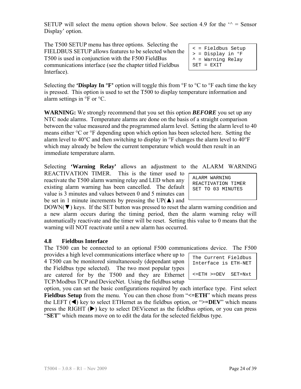SETUP will select the menu option shown below. See section 4.9 for the  $\gamma$  = Sensor Display' option.

The T500 SETUP menu has three options. Selecting the FIELDBUS SETUP allows features to be selected when the T500 is used in conjunction with the F500 FieldBus communications interface (see the chapter titled Fieldbus Interface).

Selecting the **'Display In**  ${}^{\circ}$ **F'** option will toggle this from  ${}^{\circ}$ F to  ${}^{\circ}$ C to  ${}^{\circ}$ F each time the key is pressed. This option is used to set the T500 to display temperature information and alarm settings in °F or °C.

**WARNING:** We strongly recommend that you set this option *BEFORE* you set up any NTC node alarms. Temperature alarms are done on the basis of a straight comparison between the value measured and the programmed alarm level. Setting the alarm level to 40 means either °C or °F depending upon which option has been selected here. Setting the alarm level to  $40^{\circ}$ C and then switching to display in  ${}^{\circ}$ F changes the alarm level to  $40^{\circ}$ F which may already be below the current temperature which would then result in an immediate temperature alarm.

Selecting **'Warning Relay'** allows an adjustment to the ALARM WARNING REACTIVATION TIMER. This is the timer used to reactivate the T500 alarm warning relay and LED when any existing alarm warning has been cancelled. The default value is 3 minutes and values between 0 and 5 minutes can be set in 1 minute increments by pressing the UP( $\triangle$ ) and

 $DOWN(\blacktriangledown)$  keys. If the SET button was pressed to reset the alarm warning condition and a new alarm occurs during the timing period, then the alarm warning relay will automatically reactivate and the timer will be reset. Setting this value to 0 means that the warning will NOT reactivate until a new alarm has occurred.

### **4.8 Fieldbus Interface**

The T500 can be connected to an optional F500 communications device. The F500

provides a high level communications interface where up to 4 T500 can be monitored simultaneously (dependant upon the Fieldbus type selected). The two most popular types are catered for by the T500 and they are Ethernet TCP/Modbus TCP and DeviceNet. Using the fieldbus setup

option, you can set the basic configurations required by each interface type. First select **Fieldbus Setup** from the menu. You can then chose from " $\leq$ =**ETH**" which means press the LEFT  $(\triangleleft)$  key to select ETHernet as the fieldbus option, or " $>=$ DEV" which means press the RIGHT  $(\triangleright)$  key to select DEVicenet as the fieldbus option, or you can press "**SET**" which means move on to edit the data for the selected fieldbus type.

| ALARM WARNING |  |                    |
|---------------|--|--------------------|
|               |  | REACTIVATION TIMER |
|               |  | SET TO 03 MINUTES  |

The Current Fieldbus Interface is ETH-NET

<=ETH >=DEV SET=Nxt

SET = EXIT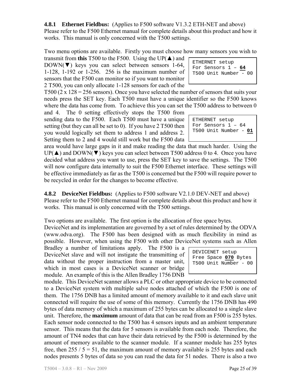**4.8.1 Ethernet Fieldbus:** (Applies to F500 software V1.3.2 ETH-NET and above) Please refer to the F500 Ethernet manual for complete details about this product and how it works. This manual is only concerned with the T500 settings.

Two menu options are available. Firstly you must choose how many sensors you wish to

transmit from **this** T500 to the F500. Using the UP( $\triangle$ ) and  $DOWN(\blacktriangledown)$  keys you can select between sensors 1-64, 1-128, 1-192 or 1-256. 256 is the maximum number of sensors that the F500 can monitor so if you want to monitor 2 T500, you can only allocate 1-128 sensors for each of the

T500 (2 x  $128 = 256$  sensors). Once you have selected the number of sensors that suits your needs press the SET key. Each T500 must have a unique identifier so the F500 knows where the data has come from. To achieve this you can set the T500 address to between 0

and 4. The 0 setting effectively stops the T500 from sending data to the F500. Each T500 must have a unique setting (but they can all be set to 0). If you have 2 T500 then you would logically set them to address 1 and address 2. Setting them to 2 and 4 would still work but the F500 data

area would have large gaps in it and make reading the data that much harder. Using the  $UP(\blacktriangle)$  and  $DOWN(\blacktriangledown)$  keys you can select between T500 address 0 to 4. Once you have decided what address you want to use, press the SET key to save the settings. The T500 will now configure data internally to suit the F500 Ethernet interface. These settings will be effective immediately as far as the T500 is concerned but the F500 will require power to be recycled in order for the changes to become effective.

**4.8.2 DeviceNet Fieldbus:** (Applies to F500 software V2.1.0 DEV-NET and above) Please refer to the F500 Ethernet manual for complete details about this product and how it works. This manual is only concerned with the T500 settings.

Two options are available. The first option is the allocation of free space bytes.

DeviceNet and its implementation are governed by a set of rules determined by the ODVA (www.odva.org). The F500 has been designed with as much flexibility in mind as possible. However, when using the F500 with other DeviceNet systems such as Allen

Bradley a number of limitations apply. The F500 is a DeviceNet slave and will not instigate the transmitting of data without the proper instruction from a master unit, which in most cases is a DeviceNet scanner or bridge module. An example of this is the Allen Bradley 1756 DNB

DEVICENET setup Free Space **070** Bytes T500 Unit Number - 00

module. This DeviceNet scanner allows a PLC or other appropriate device to be connected to a DeviceNet system with multiple salve nodes attached of which the F500 is one of them. The 1756 DNB has a limited amount of memory available to it and each slave unit connected will require the use of some of this memory. Currently the 1756 DNB has 490 bytes of data memory of which a maximum of 255 bytes can be allocated to a single slave unit. Therefore, the **maximum** amount of data that can be read from an F500 is 255 bytes. Each sensor node connected to the T500 has 4 sensors inputs and an ambient temperature sensor. This means that the data for 5 sensors is available from each node. Therefore, the amount of TN4 nodes that can have their data retrieved by the F500 is determined by the amount of memory available to the scanner module. If a scanner module has 255 bytes free, then  $255 / 5 = 51$ , the maximum amount of memory available is 255 bytes and each nodes presents 5 bytes of data so you can read the data for 51 nodes. There is also a two

| ETHERNET setup                                |
|-----------------------------------------------|
| For Sensors $1 - 64$<br>T500 Unit Number - 00 |
|                                               |

ETHERNET setup For Sensors 1 – 64 T500 Unit Number - **01**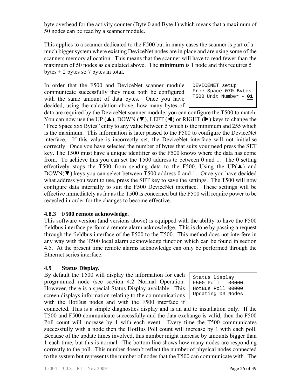byte overhead for the activity counter (Byte 0 and Byte 1) which means that a maximum of 50 nodes can be read by a scanner module.

This applies to a scanner dedicated to the F500 but in many cases the scanner is part of a much bigger system where existing DeviceNet nodes are in place and are using some of the scanners memory allocation. This means that the scanner will have to read fewer than the maximum of 50 nodes as calculated above. The **minimum** is 1 node and this requires 5 bytes  $+ 2$  bytes so 7 bytes in total.

In order that the F500 and DeviceNet scanner module communicate successfully they must both be configured with the same amount of data bytes. Once you have decided, using the calculation above, how many bytes of

DEVICENET setup Free Space 070 Bytes T500 Unit Number - **01**

data are required by the DeviceNet scanner module, you can configure the T500 to match. You can now use the UP ( $\blacktriangle$ ), DOWN ( $\nabla$ ), LEFT ( $\blacktriangle$ ) or RIGHT ( $\nobreakblacktriangleright$ ) keys to change the "Free Space xxx Bytes" entry to any value between 5 which is the minimum and 255 which is the maximum. This information is later passed to the F500 to configure the DeviceNet interface. If this value is incorrectly set, the DeviceNet interface will not initialise correctly. Once you have selected the number of bytes that suits your need press the SET key. The T500 must have a unique identifier so the F500 knows where the data has come from. To achieve this you can set the T500 address to between 0 and 1. The 0 setting effectively stops the T500 from sending data to the F500. Using the UP( $\blacktriangle$ ) and DOWN(▼) keys you can select between T500 address 0 and 1. Once you have decided what address you want to use, press the SET key to save the settings. The T500 will now configure data internally to suit the F500 DeviceNet interface. These settings will be effective immediately as far as the T500 is concerned but the F500 will require power to be recycled in order for the changes to become effective.

### **4.8.3 F500 remote acknowledge.**

This software version (and versions above) is equipped with the ability to have the F500 fieldbus interface perform a remote alarm acknowledge. This is done by passing a request through the fieldbus interface of the F500 to the T500. This method does not interfere in any way with the T500 local alarm acknowledge function which can be found in section 4.5. At the present time remote alarms acknowledge can only be performed through the Ethernet series interface.

### **4.9 Status Display.**

By default the T500 will display the information for each programmed node (see section 4.2 Normal Operation. However, there is a special Status Display available. This screen displays information relating to the communications with the HotBus nodes and with the F500 interface if

Status Display F500 Poll 00000 HotBus Poll 00000 Updating 03 Nodes

connected. This is a simple diagnostics display and is an aid to installation only. If the T500 and F500 communicate successfully and the data exchange is valid, then the F500 Poll count will increase by 1 with each event. Every time the T500 communicates successfully with a node then the HotBus Poll count will increase by 1 with each poll. Because of the update times involved, this number might increase by amounts bigger than 1 each time, but this is normal. The bottom line shows how many nodes are responding correctly to the poll. This number doesn't reflect the number of physical nodes connected to the system but represents the number of nodes that the T500 can communicate with. The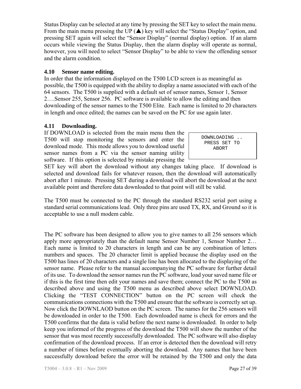Status Display can be selected at any time by pressing the SET key to select the main menu. From the main menu pressing the UP  $(\triangle)$  key will select the "Status Display" option, and pressing SET again will select the "Sensor Display" (normal display) option. If an alarm occurs while viewing the Status Display, then the alarm display will operate as normal, however, you will need to select "Sensor Display" to be able to view the offending sensor and the alarm condition.

## **4.10 Sensor name editing.**

In order that the information displayed on the T500 LCD screen is as meaningful as possible, the T500 is equipped with the ability to display a name associated with each of the 64 sensors. The T500 is supplied with a default set of sensor names, Sensor 1, Sensor 2….Sensor 255, Sensor 256. PC software is available to allow the editing and then downloading of the sensor names to the T500 Elite. Each name is limited to 20 characters in length and once edited; the names can be saved on the PC for use again later.

## **4.11 Downloading.**

If DOWNLOAD is selected from the main menu then the T500 will stop monitoring the sensors and enter the download mode. This mode allows you to download useful sensor names from a PC via the sensor naming utility software. If this option is selected by mistake pressing the

 DOWNLOADING .. PRESS SET TO ABORT

SET key will abort the download without any changes taking place. If download is selected and download fails for whatever reason, then the download will automatically abort after 1 minute. Pressing SET during a download will abort the download at the next available point and therefore data downloaded to that point will still be valid.

The T500 must be connected to the PC through the standard RS232 serial port using a standard serial communications lead. Only three pins are used TX, RX, and Ground so it is acceptable to use a null modem cable.

The PC software has been designed to allow you to give names to all 256 sensors which apply more appropriately than the default name Sensor Number 1, Sensor Number 2… Each name is limited to 20 characters in length and can be any combination of letters numbers and spaces. The 20 character limit is applied because the display used on the T500 has lines of 20 characters and a single line has been allocated to the displaying of the sensor name. Please refer to the manual accompanying the PC software for further detail of its use. To download the sensor names run the PC software, load your saved name file or if this is the first time then edit your names and save them; connect the PC to the T500 as described above and using the T500 menu as described above select DOWNLOAD. Clicking the "TEST CONNECTION" button on the PC screen will check the communications connections with the T500 and ensure that the software is correctly set up. Now click the DOWNLAOD button on the PC screen. The names for the 256 sensors will be downloaded in order to the T500. Each downloaded name is check for errors and the T500 confirms that the data is valid before the next name is downloaded. In order to help keep you informed of the progress of the download the T500 will show the number of the sensor that was most recently successfully downloaded. The PC software will also display confirmation of the download process. If an error is detected then the download will retry a number of times before eventually aborting the download. Any names that have been successfully download before the error will be retained by the T500 and only the data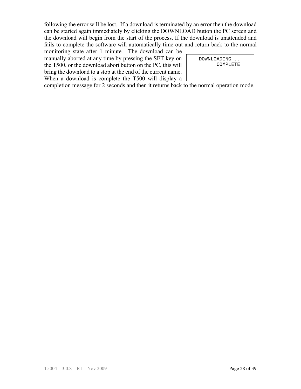following the error will be lost. If a download is terminated by an error then the download can be started again immediately by clicking the DOWNLOAD button the PC screen and the download will begin from the start of the process. If the download is unattended and fails to complete the software will automatically time out and return back to the normal

monitoring state after 1 minute. The download can be manually aborted at any time by pressing the SET key on the T500, or the download abort button on the PC, this will bring the download to a stop at the end of the current name. When a download is complete the T500 will display a

 DOWNLOADING .. COMPLETE

completion message for 2 seconds and then it returns back to the normal operation mode.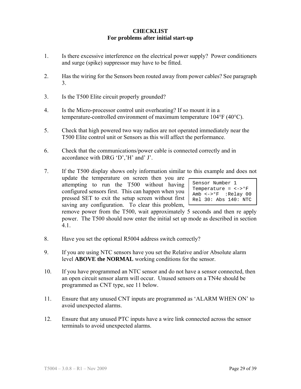## **CHECKLIST For problems after initial start-up**

- 1. Is there excessive interference on the electrical power supply? Power conditioners and surge (spike) suppressor may have to be fitted.
- 2. Has the wiring for the Sensors been routed away from power cables? See paragraph 3.
- 3. Is the T500 Elite circuit properly grounded?
- 4. Is the Micro-processor control unit overheating? If so mount it in a temperature-controlled environment of maximum temperature 104°F (40°C).
- 5. Check that high powered two way radios are not operated immediately near the T500 Elite control unit or Sensors as this will affect the performance.
- 6. Check that the communications/power cable is connected correctly and in accordance with DRG 'D','H' and' J'.
- 7. If the T500 display shows only information similar to this example and does not update the temperature on screen then you are

attempting to run the T500 without having configured sensors first. This can happen when you pressed SET to exit the setup screen without first saving any configuration. To clear this problem,

Sensor Number 1 Temperature =  $\langle - \rangle$ °F Amb <->°F :Relay 00 Rel 30: Abs 140: NTC

remove power from the T500, wait approximately 5 seconds and then re apply power. The T500 should now enter the initial set up mode as described in section 4.1.

- 8. Have you set the optional R5004 address switch correctly?
- 9. If you are using NTC sensors have you set the Relative and/or Absolute alarm level **ABOVE the NORMAL** working conditions for the sensor.
- 10. If you have programmed an NTC sensor and do not have a sensor connected, then an open circuit sensor alarm will occur. Unused sensors on a TN4e should be programmed as CNT type, see 11 below.
- 11. Ensure that any unused CNT inputs are programmed as 'ALARM WHEN ON' to avoid unexpected alarms.
- 12. Ensure that any unused PTC inputs have a wire link connected across the sensor terminals to avoid unexpected alarms.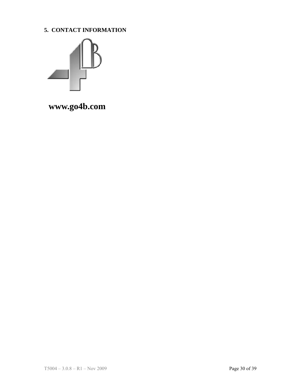**5. CONTACT INFORMATION** 



 **www.go4b.com**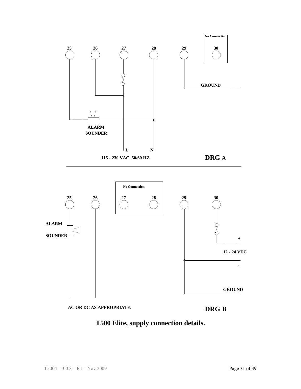



**-**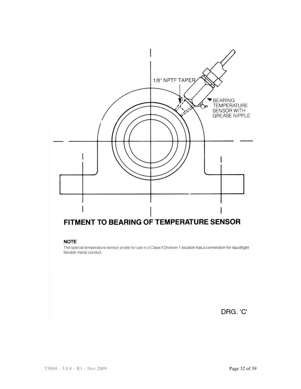

#### **NOTE**

The special temperature sensor probe for use in a Class II Division 1 location has a connection for liquidtight flexible metal conduit.

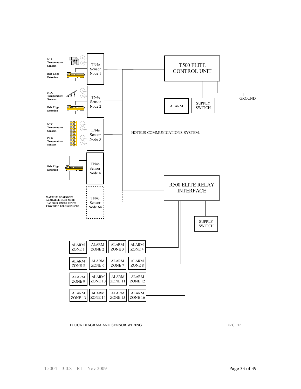

#### BLOCK DIAGRAM AND SENSOR WIRING DRG. 'D' DRG. 'D' DRG. 'D'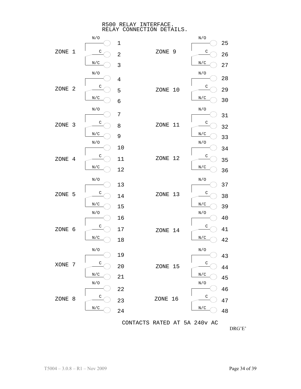R500 RELAY INTERFACE. RELAY CONNECTION DETAILS.



DRG'E'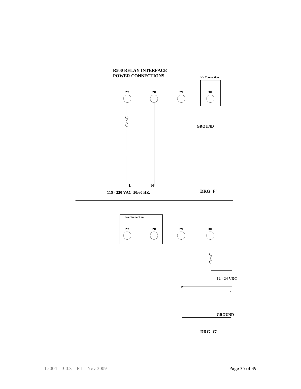



**DRG 'G'**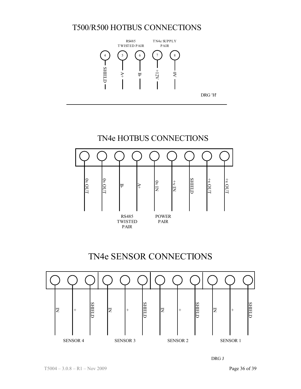# T500/R500 HOTBUS CONNECTIONS





# TN4e SENSOR CONNECTIONS



DRG J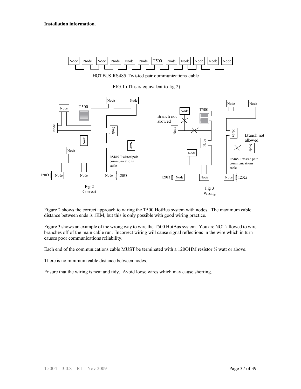

HOTBUS RS485 Twisted pair communications ca ble

FIG.1 (This is equivalent to fig.2)



Figure 2 shows the correct approach to wiring the T500 HotBus system with nodes. The maximum cable distance between ends is 1KM, but this is only possible with good wiring practice.

Figure 3 shows an example of the wrong way to wire the T500 HotBus system. You are NOT allowed to wire branches off of the main cable run. Incorrect wiring will cause signal reflections in the wire which in turn causes poor communications reliability.

Each end of the communications cable MUST be terminated with a 1200HM resistor  $\frac{1}{4}$  watt or above.

There is no minimum cable distance between nodes.

Ensure that the wiring is neat and tidy. Avoid loose wires which may cause shorting.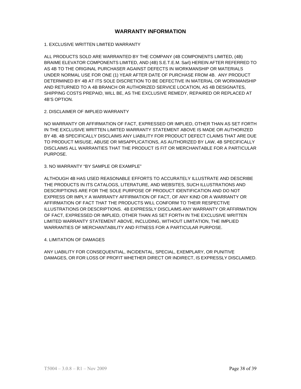#### **WARRANTY INFORMATION**

#### 1. EXCLUSIVE WRITTEN LIMITED WARRANTY

ALL PRODUCTS SOLD ARE WARRANTED BY THE COMPANY (4B COMPONENTS LIMITED, (4B) BRAIME ELEVATOR COMPONENTS LIMITED, AND (4B) S.E.T.E.M. Sarl) HEREIN AFTER REFERRED TO AS 4B TO THE ORIGINAL PURCHASER AGAINST DEFECTS IN WORKMANSHIP OR MATERIALS UNDER NORMAL USE FOR ONE (1) YEAR AFTER DATE OF PURCHASE FROM 4B. ANY PRODUCT DETERMINED BY 4B AT ITS SOLE DISCRETION TO BE DEFECTIVE IN MATERIAL OR WORKMANSHIP AND RETURNED TO A 4B BRANCH OR AUTHORIZED SERVICE LOCATION, AS 4B DESIGNATES, SHIPPING COSTS PREPAID, WILL BE, AS THE EXCLUSIVE REMEDY, REPAIRED OR REPLACED AT 4B'S OPTION.

#### 2. DISCLAIMER OF IMPLIED WARRANTY

NO WARRANTY OR AFFIRMATION OF FACT, EXPRESSED OR IMPLIED, OTHER THAN AS SET FORTH IN THE EXCLUSIVE WRITTEN LIMITED WARRANTY STATEMENT ABOVE IS MADE OR AUTHORIZED BY 4B. 4B SPECIFICALLY DISCLAIMS ANY LIABILITY FOR PRODUCT DEFECT CLAIMS THAT ARE DUE TO PRODUCT MISUSE, ABUSE OR MISAPPLICATIONS, AS AUTHORIZED BY LAW, 4B SPECIFICALLY DISCLAIMS ALL WARRANTIES THAT THE PRODUCT IS FIT OR MERCHANTABLE FOR A PARTICULAR PURPOSE.

#### 3. NO WARRANTY "BY SAMPLE OR EXAMPLE"

ALTHOUGH 4B HAS USED REASONABLE EFFORTS TO ACCURATELY ILLUSTRATE AND DESCRIBE THE PRODUCTS IN ITS CATALOGS, LITERATURE, AND WEBSITES, SUCH ILLUSTRATIONS AND DESCRIPTIONS ARE FOR THE SOLE PURPOSE OF PRODUCT IDENTIFICATION AND DO NOT EXPRESS OR IMPLY A WARRANTY AFFIRMATION OF FACT, OF ANY KIND OR A WARRANTY OR AFFIRMATION OF FACT THAT THE PRODUCTS WILL CONFORM TO THEIR RESPECTIVE ILLUSTRATIONS OR DESCRIPTIONS. 4B EXPRESSLY DISCLAIMS ANY WARRANTY OR AFFIRMATION OF FACT, EXPRESSED OR IMPLIED, OTHER THAN AS SET FORTH IN THE EXCLUSIVE WRITTEN LIMITED WARRANTY STATEMENT ABOVE, INCLUDING, WITHOUT LIMITATION, THE IMPLIED WARRANTIES OF MERCHANTABILITY AND FITNESS FOR A PARTICULAR PURPOSE.

#### 4. LIMITATION OF DAMAGES

ANY LIABILITY FOR CONSEQUENTIAL, INCIDENTAL, SPECIAL, EXEMPLARY, OR PUNITIVE DAMAGES, OR FOR LOSS OF PROFIT WHETHER DIRECT OR INDIRECT, IS EXPRESSLY DISCLAIMED.